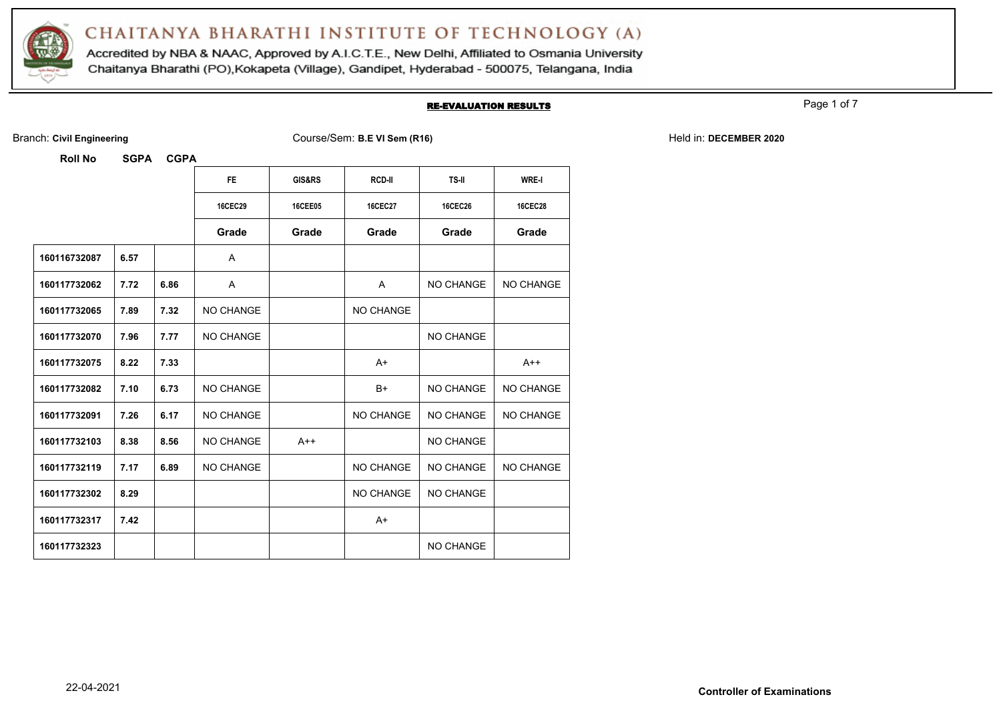

Accredited by NBA & NAAC, Approved by A.I.C.T.E., New Delhi, Affiliated to Osmania University Chaitanya Bharathi (PO), Kokapeta (Village), Gandipet, Hyderabad - 500075, Telangana, India

#### RE-EVALUATION RESULTS

Page 1 of 7

|  | Branch: Civil Engineering |
|--|---------------------------|
|  |                           |

Branch: **Civil Engineering** Course/Sem: **B.E VI Sem (R16)** Held in: **DECEMBER 2020**

|              |      |      | FE.            | <b>GIS&amp;RS</b> | RCD-II         | TS-II            | <b>WRE-I</b>     |
|--------------|------|------|----------------|-------------------|----------------|------------------|------------------|
|              |      |      | <b>16CEC29</b> | <b>16CEE05</b>    | <b>16CEC27</b> | <b>16CEC26</b>   | <b>16CEC28</b>   |
|              |      |      | Grade          | Grade             | Grade          | Grade            | Grade            |
| 160116732087 | 6.57 |      | A              |                   |                |                  |                  |
| 160117732062 | 7.72 | 6.86 | A              |                   | A              | NO CHANGE        | NO CHANGE        |
| 160117732065 | 7.89 | 7.32 | NO CHANGE      |                   | NO CHANGE      |                  |                  |
| 160117732070 | 7.96 | 7.77 | NO CHANGE      |                   |                | NO CHANGE        |                  |
| 160117732075 | 8.22 | 7.33 |                |                   | $A+$           |                  | $A++$            |
| 160117732082 | 7.10 | 6.73 | NO CHANGE      |                   | B+             | NO CHANGE        | <b>NO CHANGE</b> |
| 160117732091 | 7.26 | 6.17 | NO CHANGE      |                   | NO CHANGE      | <b>NO CHANGE</b> | NO CHANGE        |
| 160117732103 | 8.38 | 8.56 | NO CHANGE      | $A++$             |                | NO CHANGE        |                  |
| 160117732119 | 7.17 | 6.89 | NO CHANGE      |                   | NO CHANGE      | NO CHANGE        | NO CHANGE        |
| 160117732302 | 8.29 |      |                |                   | NO CHANGE      | NO CHANGE        |                  |
| 160117732317 | 7.42 |      |                |                   | $A+$           |                  |                  |
| 160117732323 |      |      |                |                   |                | NO CHANGE        |                  |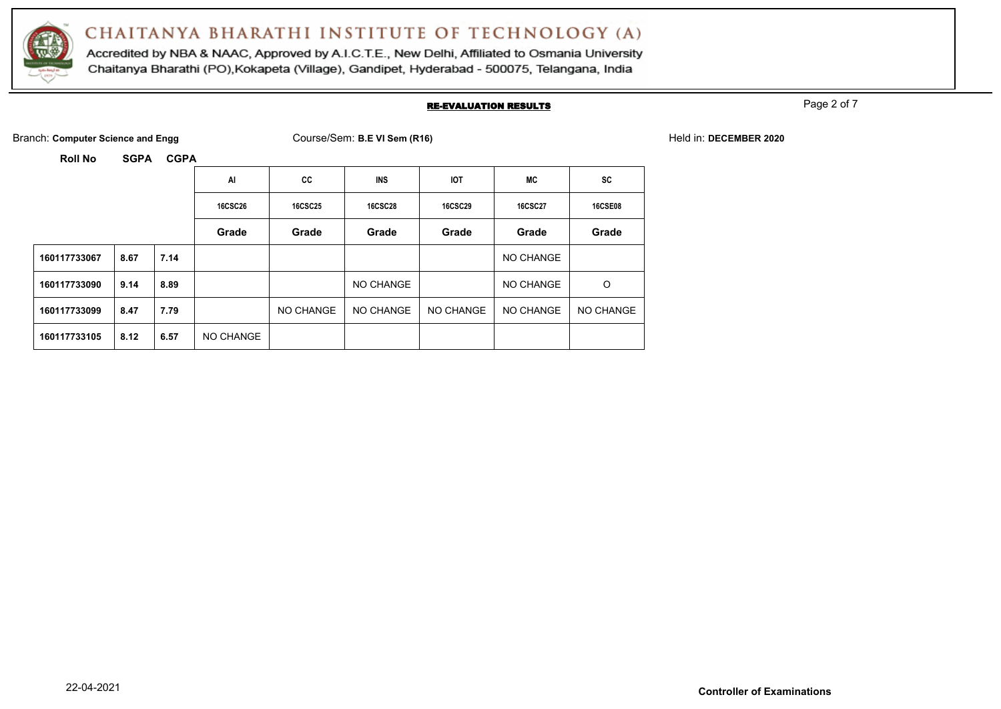

Accredited by NBA & NAAC, Approved by A.I.C.T.E., New Delhi, Affiliated to Osmania University Chaitanya Bharathi (PO), Kokapeta (Village), Gandipet, Hyderabad - 500075, Telangana, India

#### RE-EVALUATION RESULTS

Page 2 of 7

| Branch: Computer Science and Engg | Course/Sem: B.E VI Sem (R16) | Held in: DECEMBER 2020 |
|-----------------------------------|------------------------------|------------------------|
|                                   |                              |                        |

|              |      |      | Al             | CC             | <b>INS</b>     | <b>IOT</b>     | MC             | <b>SC</b>      |
|--------------|------|------|----------------|----------------|----------------|----------------|----------------|----------------|
|              |      |      | <b>16CSC26</b> | <b>16CSC25</b> | <b>16CSC28</b> | <b>16CSC29</b> | <b>16CSC27</b> | <b>16CSE08</b> |
|              |      |      | Grade          | Grade          | Grade          | Grade          | Grade          | Grade          |
| 160117733067 | 8.67 | 7.14 |                |                |                |                | NO CHANGE      |                |
| 160117733090 | 9.14 | 8.89 |                |                | NO CHANGE      |                | NO CHANGE      | $\circ$        |
| 160117733099 | 8.47 | 7.79 |                | NO CHANGE      | NO CHANGE      | NO CHANGE      | NO CHANGE      | NO CHANGE      |
| 160117733105 | 8.12 | 6.57 | NO CHANGE      |                |                |                |                |                |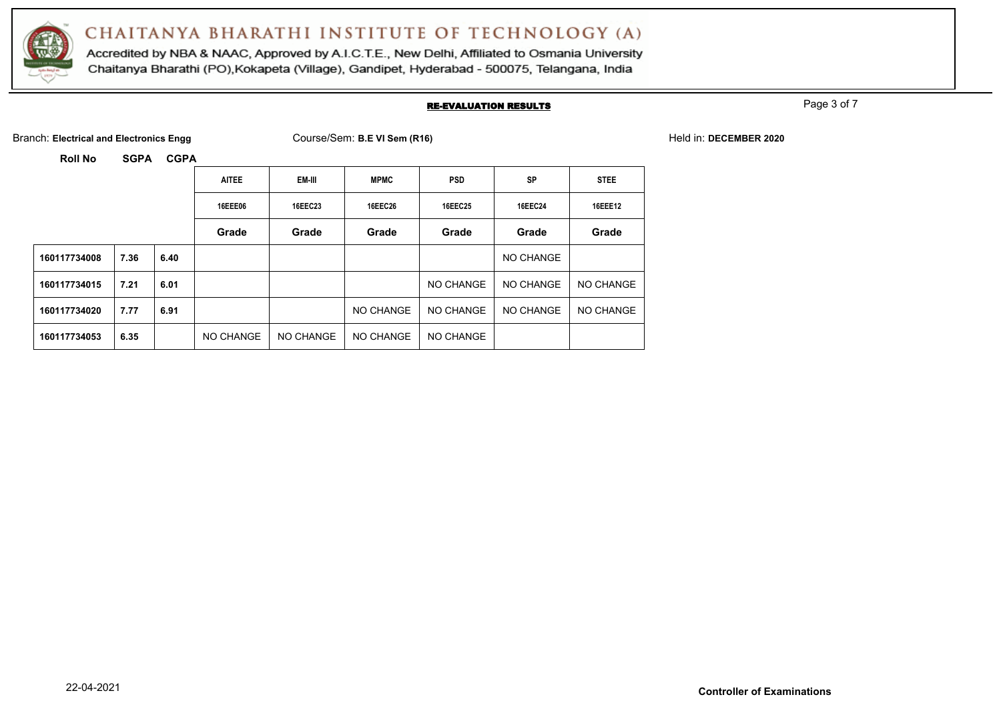

Accredited by NBA & NAAC, Approved by A.I.C.T.E., New Delhi, Affiliated to Osmania University Chaitanya Bharathi (PO), Kokapeta (Village), Gandipet, Hyderabad - 500075, Telangana, India

### RE-EVALUATION RESULTS

Page 3 of 7

Branch: Electrical and Electronics Engg **Course/Sem: B.E VI Sem (R16)** Held in: DECEMBER 2020

|              |      |      | <b>AITEE</b> | EM-III    | <b>MPMC</b>    | <b>PSD</b>     | <b>SP</b>      | <b>STEE</b>      |
|--------------|------|------|--------------|-----------|----------------|----------------|----------------|------------------|
|              |      |      | 16EEE06      | 16EEC23   | <b>16EEC26</b> | <b>16EEC25</b> | <b>16EEC24</b> | <b>16EEE12</b>   |
|              |      |      | Grade        | Grade     | Grade          | Grade          | Grade          | Grade            |
| 160117734008 | 7.36 | 6.40 |              |           |                |                | NO CHANGE      |                  |
| 160117734015 | 7.21 | 6.01 |              |           |                | NO CHANGE      | NO CHANGE      | <b>NO CHANGE</b> |
| 160117734020 | 7.77 | 6.91 |              |           | NO CHANGE      | NO CHANGE      | NO CHANGE      | NO CHANGE        |
| 160117734053 | 6.35 |      | NO CHANGE    | NO CHANGE | NO CHANGE      | NO CHANGE      |                |                  |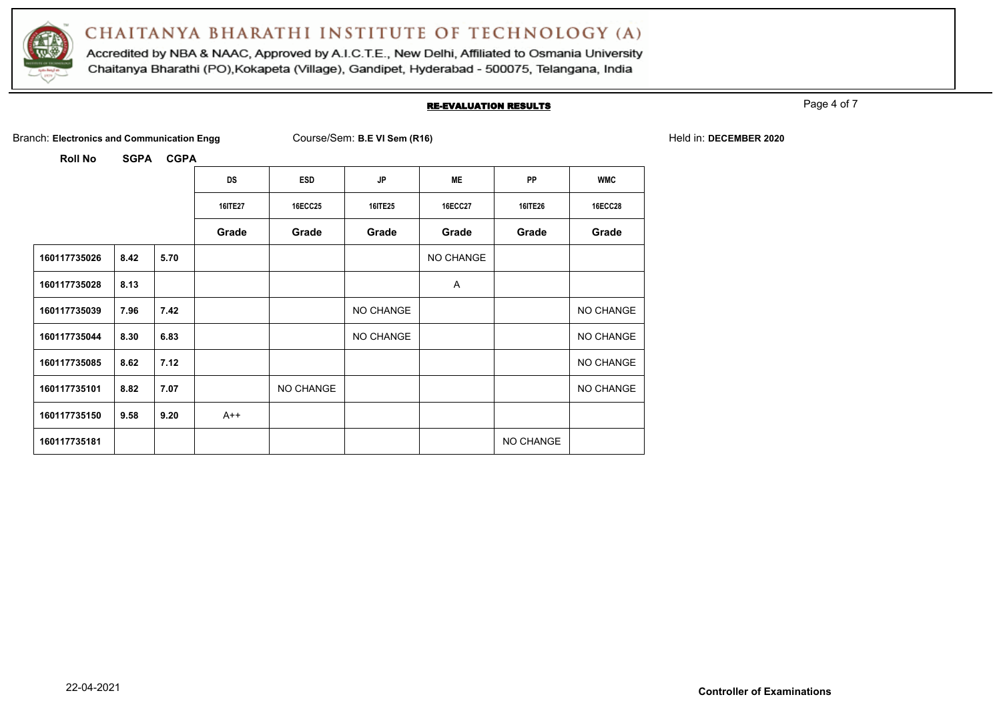

Accredited by NBA & NAAC, Approved by A.I.C.T.E., New Delhi, Affiliated to Osmania University Chaitanya Bharathi (PO), Kokapeta (Village), Gandipet, Hyderabad - 500075, Telangana, India

#### RE-EVALUATION RESULTS

Page 4 of 7

Branch: Electronics and Communication Engg Course/Sem: B.E VI Sem (R16) **Held in: DECEMBER 2020** Held in: DECEMBER 2020

|              |      |      | <b>DS</b>      | <b>ESD</b>     | <b>JP</b>      | <b>ME</b>      | PP        | <b>WMC</b>     |
|--------------|------|------|----------------|----------------|----------------|----------------|-----------|----------------|
|              |      |      | <b>16ITE27</b> | <b>16ECC25</b> | <b>16ITE25</b> | <b>16ECC27</b> | 16ITE26   | <b>16ECC28</b> |
|              |      |      | Grade          | Grade          | Grade          | Grade          | Grade     | Grade          |
| 160117735026 | 8.42 | 5.70 |                |                |                | NO CHANGE      |           |                |
| 160117735028 | 8.13 |      |                |                |                | Α              |           |                |
| 160117735039 | 7.96 | 7.42 |                |                | NO CHANGE      |                |           | NO CHANGE      |
| 160117735044 | 8.30 | 6.83 |                |                | NO CHANGE      |                |           | NO CHANGE      |
| 160117735085 | 8.62 | 7.12 |                |                |                |                |           | NO CHANGE      |
| 160117735101 | 8.82 | 7.07 |                | NO CHANGE      |                |                |           | NO CHANGE      |
| 160117735150 | 9.58 | 9.20 | $A++$          |                |                |                |           |                |
| 160117735181 |      |      |                |                |                |                | NO CHANGE |                |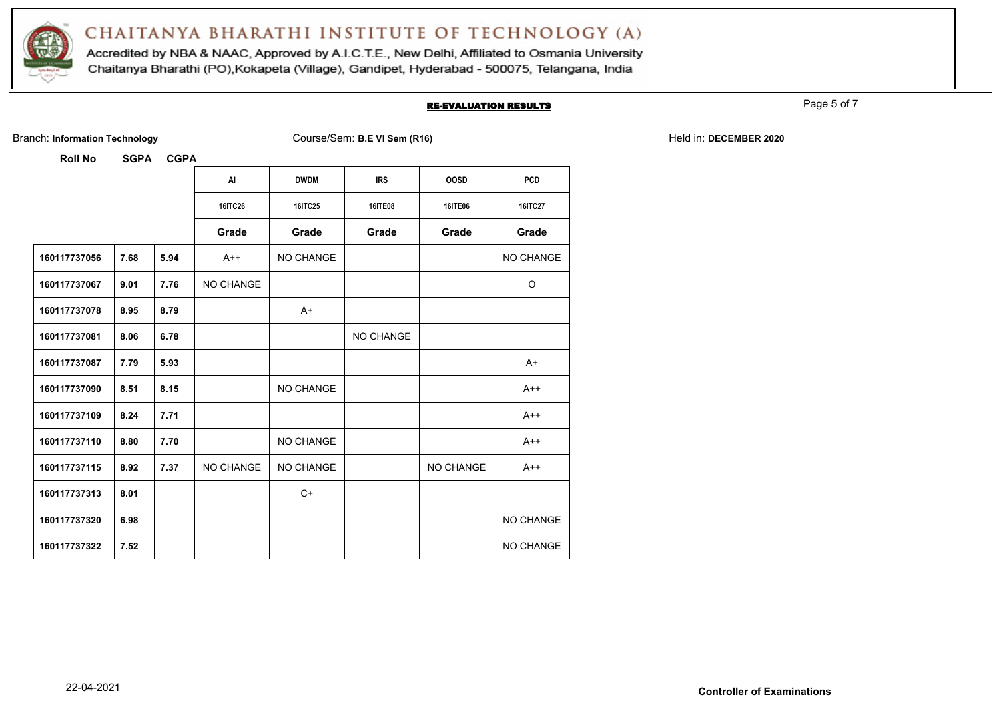

Accredited by NBA & NAAC, Approved by A.I.C.T.E., New Delhi, Affiliated to Osmania University Chaitanya Bharathi (PO), Kokapeta (Village), Gandipet, Hyderabad - 500075, Telangana, India

#### RE-EVALUATION RESULTS

Page 5 of 7

Branch: Information Technology **Course/Sem: B.E VI Sem (R16)** Held in: DECEMBER 2020

|              |      |      | AI               | <b>DWDM</b>      | <b>IRS</b>       | <b>OOSD</b>      | <b>PCD</b> |
|--------------|------|------|------------------|------------------|------------------|------------------|------------|
|              |      |      | 16ITC26          | 16ITC25          | <b>16ITE08</b>   | 16ITE06          | 16ITC27    |
|              |      |      | Grade            | Grade            | Grade            | Grade            | Grade      |
| 160117737056 | 7.68 | 5.94 | $A++$            | NO CHANGE        |                  |                  | NO CHANGE  |
| 160117737067 | 9.01 | 7.76 | <b>NO CHANGE</b> |                  |                  |                  | O          |
| 160117737078 | 8.95 | 8.79 |                  | $A+$             |                  |                  |            |
| 160117737081 | 8.06 | 6.78 |                  |                  | <b>NO CHANGE</b> |                  |            |
| 160117737087 | 7.79 | 5.93 |                  |                  |                  |                  | $A+$       |
| 160117737090 | 8.51 | 8.15 |                  | <b>NO CHANGE</b> |                  |                  | $A++$      |
| 160117737109 | 8.24 | 7.71 |                  |                  |                  |                  | $A++$      |
| 160117737110 | 8.80 | 7.70 |                  | NO CHANGE        |                  |                  | $A++$      |
| 160117737115 | 8.92 | 7.37 | NO CHANGE        | NO CHANGE        |                  | <b>NO CHANGE</b> | $A++$      |
| 160117737313 | 8.01 |      |                  | $C+$             |                  |                  |            |
| 160117737320 | 6.98 |      |                  |                  |                  |                  | NO CHANGE  |
| 160117737322 | 7.52 |      |                  |                  |                  |                  | NO CHANGE  |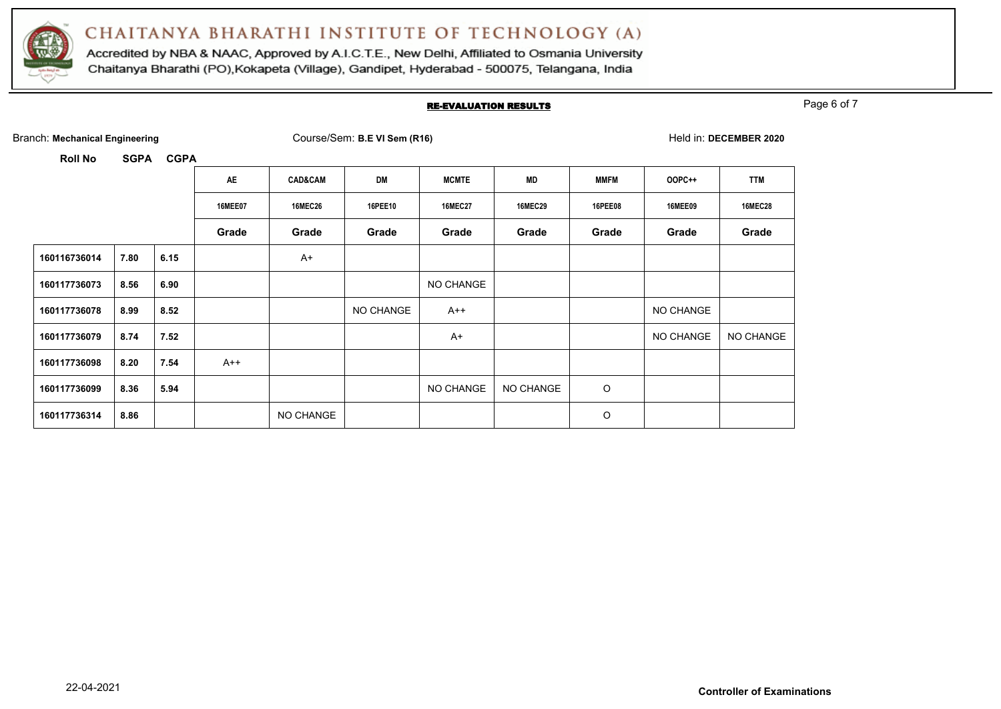

Accredited by NBA & NAAC, Approved by A.I.C.T.E., New Delhi, Affiliated to Osmania University Chaitanya Bharathi (PO), Kokapeta (Village), Gandipet, Hyderabad - 500075, Telangana, India

#### RE-EVALUATION RESULTS

Page 6 of 7

| Branch: Mechanical Engineering |             |             |                |                    | Course/Sem: B.E VI Sem (R16) |                |                |                |                | Held in: DECEMBER 2020 |
|--------------------------------|-------------|-------------|----------------|--------------------|------------------------------|----------------|----------------|----------------|----------------|------------------------|
| <b>Roll No</b>                 | <b>SGPA</b> | <b>CGPA</b> |                |                    |                              |                |                |                |                |                        |
|                                |             |             | AE             | <b>CAD&amp;CAM</b> | DM                           | <b>MCMTE</b>   | MD             | <b>MMFM</b>    | OOPC++         | <b>TTM</b>             |
|                                |             |             | <b>16MEE07</b> | <b>16MEC26</b>     | 16PEE10                      | <b>16MEC27</b> | <b>16MEC29</b> | <b>16PEE08</b> | <b>16MEE09</b> | <b>16MEC28</b>         |
|                                |             |             | Grade          | Grade              | Grade                        | Grade          | Grade          | Grade          | Grade          | Grade                  |
| 160116736014                   | 7.80        | 6.15        |                | $A+$               |                              |                |                |                |                |                        |
| 160117736073                   | 8.56        | 6.90        |                |                    |                              | NO CHANGE      |                |                |                |                        |
| 160117736078                   | 8.99        | 8.52        |                |                    | NO CHANGE                    | $A++$          |                |                | NO CHANGE      |                        |
| 160117736079                   | 8.74        | 7.52        |                |                    |                              | $A+$           |                |                | NO CHANGE      | NO CHANGE              |
| 160117736098                   | 8.20        | 7.54        | $A++$          |                    |                              |                |                |                |                |                        |
| 160117736099                   | 8.36        | 5.94        |                |                    |                              | NO CHANGE      | NO CHANGE      | O              |                |                        |
| 160117736314                   | 8.86        |             |                | NO CHANGE          |                              |                |                | O              |                |                        |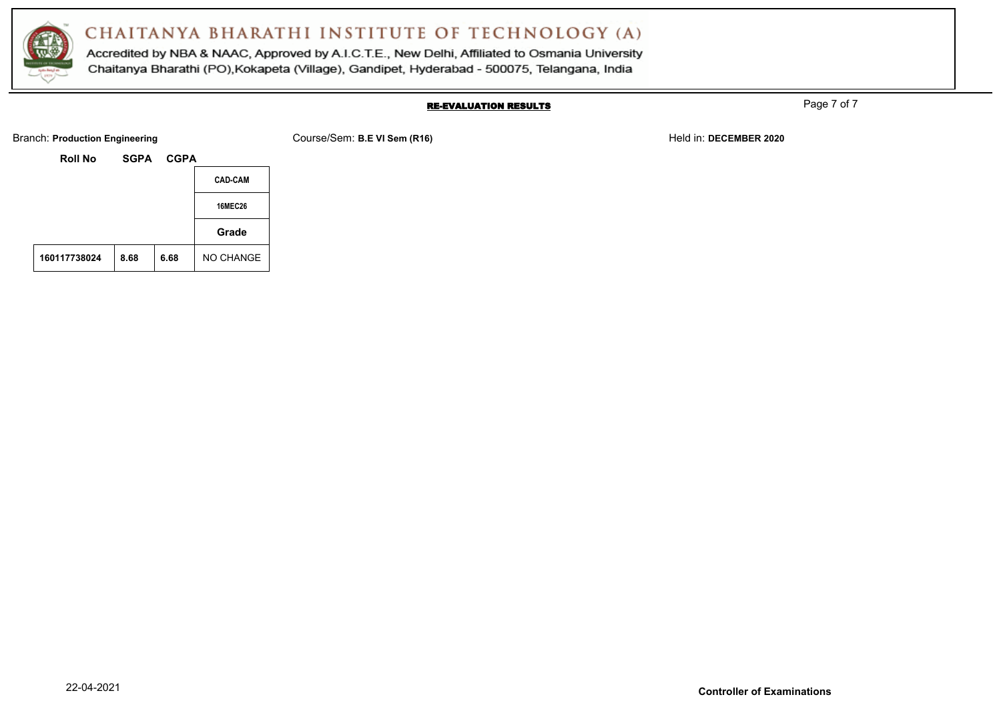

Accredited by NBA & NAAC, Approved by A.I.C.T.E., New Delhi, Affiliated to Osmania University Chaitanya Bharathi (PO), Kokapeta (Village), Gandipet, Hyderabad - 500075, Telangana, India

#### RE-EVALUATION RESULTS

Page 7 of 7

Branch: **Production Engineering Example 2020** Course/Sem: B.E VI Sem (R16) **Held in:** DECEMBER 2020

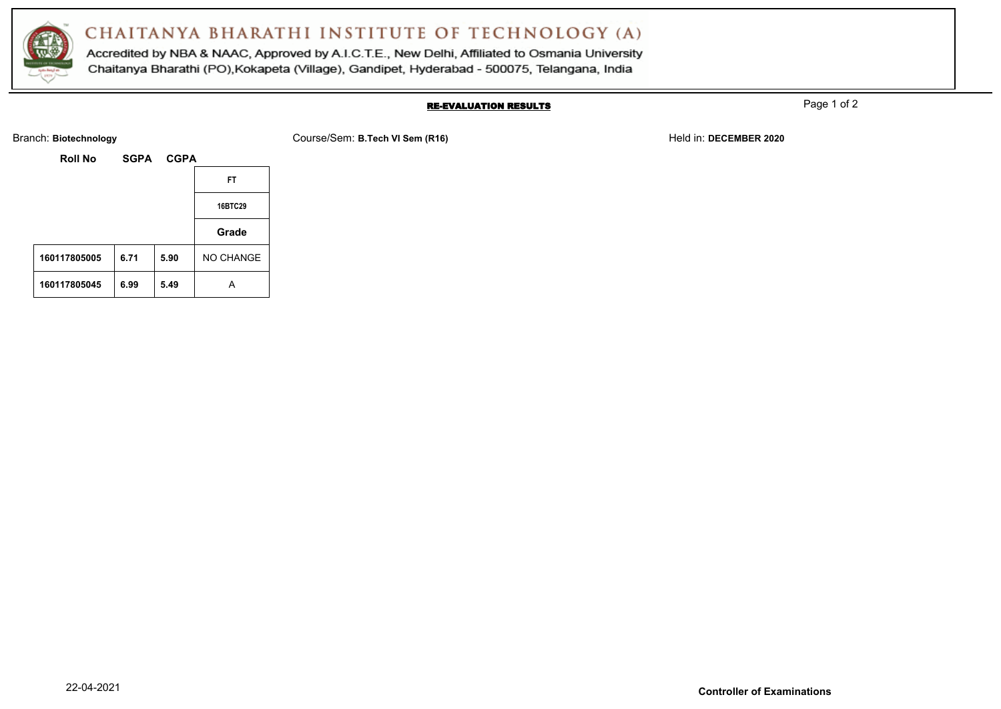

Accredited by NBA & NAAC, Approved by A.I.C.T.E., New Delhi, Affiliated to Osmania University Chaitanya Bharathi (PO), Kokapeta (Village), Gandipet, Hyderabad - 500075, Telangana, India

### RE-EVALUATION RESULTS

Page 1 of 2

Branch: **Biotechnology** Course/Sem: **B.Tech VI Sem (R16)** Held in: **DECEMBER 2020**

| <b>Roll No</b> | <b>SGPA</b> | <b>CGPA</b> |           |
|----------------|-------------|-------------|-----------|
|                |             |             | FT.       |
|                |             |             | 16BTC29   |
|                |             |             | Grade     |
| 160117805005   | 6.71        | 5.90        | NO CHANGE |
| 160117805045   | 6.99        | 5.49        | А         |